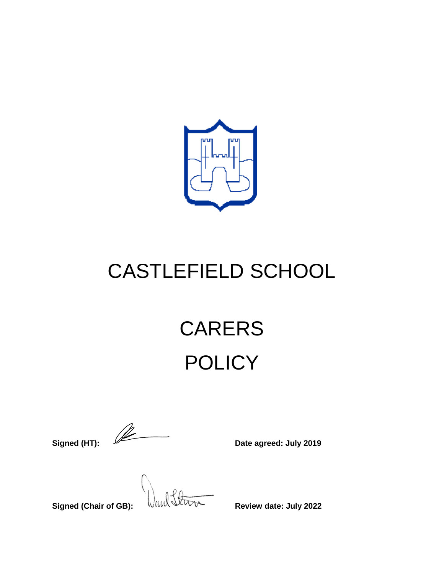

## CASTLEFIELD SCHOOL

# CARERS **POLICY**

**Signed (HT):**  $\sqrt{2\pi}$  Date agreed: July 2019

**Signed (Chair of GB):**  $\sqrt{u}u\sqrt{\sqrt{u^2+u^2+u^2}}$  Review date: July 2022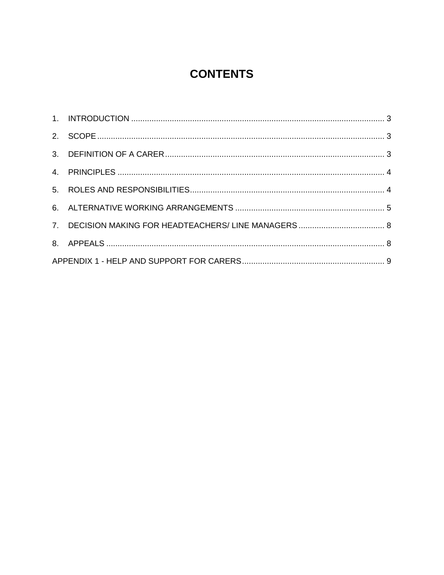## **CONTENTS**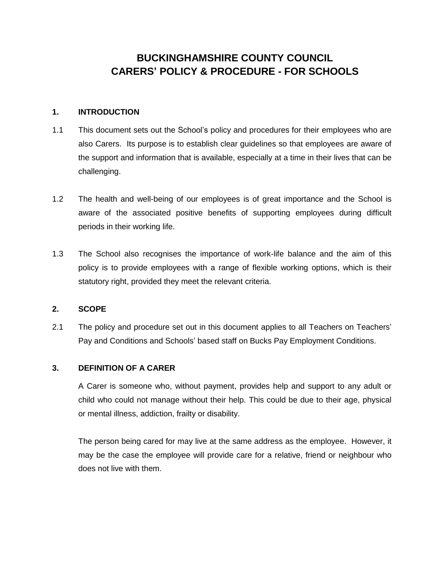## **BUCKINGHAMSHIRE COUNTY COUNCIL CARERS' POLICY & PROCEDURE - FOR SCHOOLS**

#### <span id="page-2-0"></span>**1. INTRODUCTION**

- 1.1 This document sets out the School's policy and procedures for their employees who are also Carers. Its purpose is to establish clear guidelines so that employees are aware of the support and information that is available, especially at a time in their lives that can be challenging.
- 1.2 The health and well-being of our employees is of great importance and the School is aware of the associated positive benefits of supporting employees during difficult periods in their working life.
- 1.3 The School also recognises the importance of work-life balance and the aim of this policy is to provide employees with a range of flexible working options, which is their statutory right, provided they meet the relevant criteria.

#### <span id="page-2-1"></span>**2. SCOPE**

2.1 The policy and procedure set out in this document applies to all Teachers on Teachers' Pay and Conditions and Schools' based staff on Bucks Pay Employment Conditions.

#### <span id="page-2-2"></span>**3. DEFINITION OF A CARER**

A Carer is someone who, without payment, provides help and support to any adult or child who could not manage without their help. This could be due to their age, physical or mental illness, addiction, frailty or disability.

The person being cared for may live at the same address as the employee. However, it may be the case the employee will provide care for a relative, friend or neighbour who does not live with them.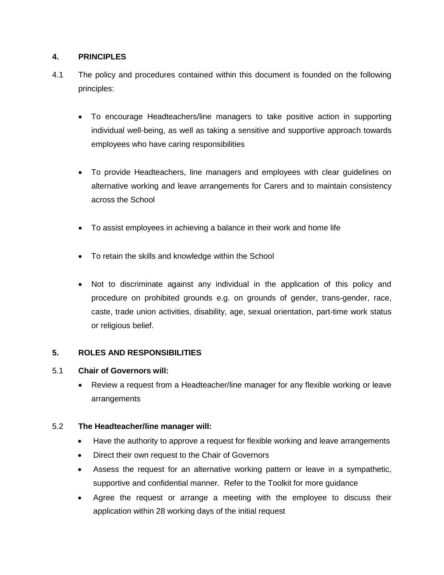#### <span id="page-3-0"></span>**4. PRINCIPLES**

- 4.1 The policy and procedures contained within this document is founded on the following principles:
	- To encourage Headteachers/line managers to take positive action in supporting individual well-being, as well as taking a sensitive and supportive approach towards employees who have caring responsibilities
	- To provide Headteachers, line managers and employees with clear guidelines on alternative working and leave arrangements for Carers and to maintain consistency across the School
	- To assist employees in achieving a balance in their work and home life
	- To retain the skills and knowledge within the School
	- Not to discriminate against any individual in the application of this policy and procedure on prohibited grounds e.g. on grounds of gender, trans-gender, race, caste, trade union activities, disability, age, sexual orientation, part-time work status or religious belief.

#### <span id="page-3-1"></span>**5. ROLES AND RESPONSIBILITIES**

#### 5.1 **Chair of Governors will:**

 Review a request from a Headteacher/line manager for any flexible working or leave arrangements

#### 5.2 **The Headteacher/line manager will:**

- Have the authority to approve a request for flexible working and leave arrangements
- Direct their own request to the Chair of Governors
- Assess the request for an alternative working pattern or leave in a sympathetic, supportive and confidential manner. Refer to the Toolkit for more guidance
- Agree the request or arrange a meeting with the employee to discuss their application within 28 working days of the initial request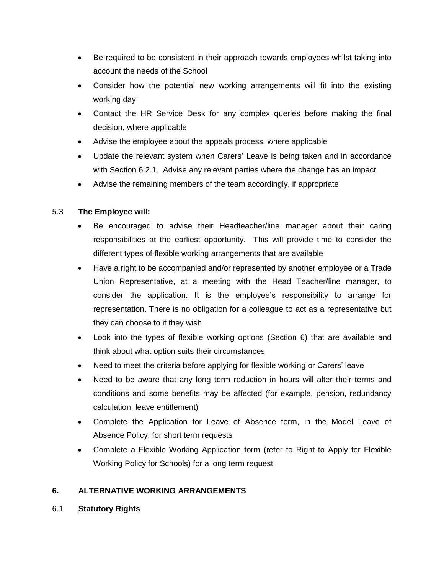- Be required to be consistent in their approach towards employees whilst taking into account the needs of the School
- Consider how the potential new working arrangements will fit into the existing working day
- Contact the HR Service Desk for any complex queries before making the final decision, where applicable
- Advise the employee about the appeals process, where applicable
- Update the relevant system when Carers' Leave is being taken and in accordance with Section 6.2.1. Advise any relevant parties where the change has an impact
- Advise the remaining members of the team accordingly, if appropriate

#### 5.3 **The Employee will:**

- Be encouraged to advise their Headteacher/line manager about their caring responsibilities at the earliest opportunity. This will provide time to consider the different types of flexible working arrangements that are available
- Have a right to be accompanied and/or represented by another employee or a Trade Union Representative, at a meeting with the Head Teacher/line manager, to consider the application. It is the employee's responsibility to arrange for representation. There is no obligation for a colleague to act as a representative but they can choose to if they wish
- Look into the types of flexible working options (Section 6) that are available and think about what option suits their circumstances
- Need to meet the criteria before applying for flexible working or Carers' leave
- Need to be aware that any long term reduction in hours will alter their terms and conditions and some benefits may be affected (for example, pension, redundancy calculation, leave entitlement)
- Complete the Application for Leave of Absence form, in the Model Leave of Absence Policy, for short term requests
- Complete a Flexible Working Application form (refer to Right to Apply for Flexible Working Policy for Schools) for a long term request

#### <span id="page-4-0"></span>**6. ALTERNATIVE WORKING ARRANGEMENTS**

#### 6.1 **Statutory Rights**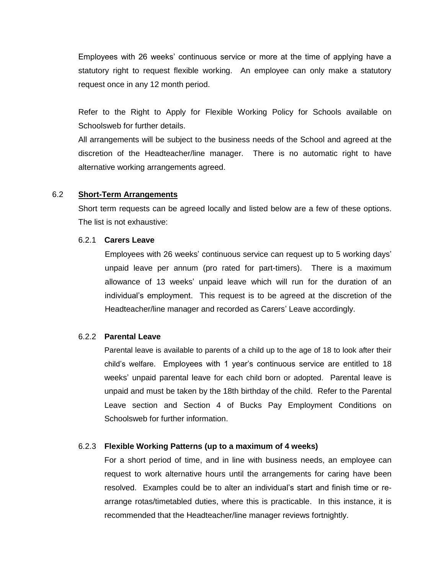Employees with 26 weeks' continuous service or more at the time of applying have a statutory right to request flexible working. An employee can only make a statutory request once in any 12 month period.

Refer to the Right to Apply for Flexible Working Policy for Schools available on Schoolsweb for further details.

All arrangements will be subject to the business needs of the School and agreed at the discretion of the Headteacher/line manager. There is no automatic right to have alternative working arrangements agreed.

#### 6.2 **Short-Term Arrangements**

Short term requests can be agreed locally and listed below are a few of these options. The list is not exhaustive:

#### 6.2.1 **Carers Leave**

Employees with 26 weeks' continuous service can request up to 5 working days' unpaid leave per annum (pro rated for part-timers). There is a maximum allowance of 13 weeks' unpaid leave which will run for the duration of an individual's employment. This request is to be agreed at the discretion of the Headteacher/line manager and recorded as Carers' Leave accordingly.

#### 6.2.2 **Parental Leave**

Parental leave is available to parents of a child up to the age of 18 to look after their child's welfare. Employees with 1 year's continuous service are entitled to 18 weeks' unpaid parental leave for each child born or adopted. Parental leave is unpaid and must be taken by the 18th birthday of the child. Refer to the Parental Leave section and Section 4 of Bucks Pay Employment Conditions on Schoolsweb for further information.

#### 6.2.3 **Flexible Working Patterns (up to a maximum of 4 weeks)**

For a short period of time, and in line with business needs, an employee can request to work alternative hours until the arrangements for caring have been resolved. Examples could be to alter an individual's start and finish time or rearrange rotas/timetabled duties, where this is practicable. In this instance, it is recommended that the Headteacher/line manager reviews fortnightly.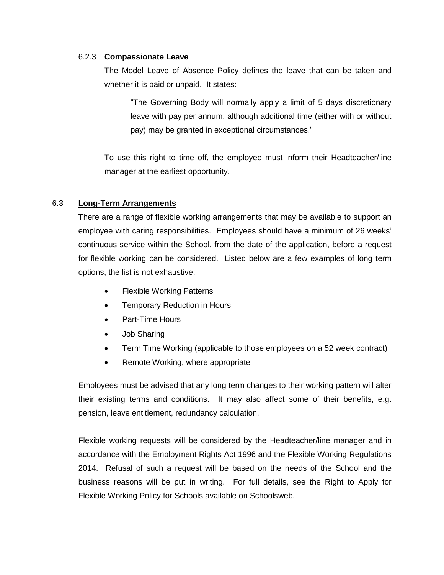#### 6.2.3 **Compassionate Leave**

The Model Leave of Absence Policy defines the leave that can be taken and whether it is paid or unpaid. It states:

"The Governing Body will normally apply a limit of 5 days discretionary leave with pay per annum, although additional time (either with or without pay) may be granted in exceptional circumstances."

To use this right to time off, the employee must inform their Headteacher/line manager at the earliest opportunity.

#### 6.3 **Long-Term Arrangements**

There are a range of flexible working arrangements that may be available to support an employee with caring responsibilities. Employees should have a minimum of 26 weeks' continuous service within the School, from the date of the application, before a request for flexible working can be considered.Listed below are a few examples of long term options, the list is not exhaustive:

- Flexible Working Patterns
- Temporary Reduction in Hours
- Part-Time Hours
- Job Sharing
- Term Time Working (applicable to those employees on a 52 week contract)
- Remote Working, where appropriate

Employees must be advised that any long term changes to their working pattern will alter their existing terms and conditions. It may also affect some of their benefits, e.g. pension, leave entitlement, redundancy calculation.

Flexible working requests will be considered by the Headteacher/line manager and in accordance with the Employment Rights Act 1996 and the Flexible Working Regulations 2014. Refusal of such a request will be based on the needs of the School and the business reasons will be put in writing. For full details, see the Right to Apply for Flexible Working Policy for Schools available on Schoolsweb.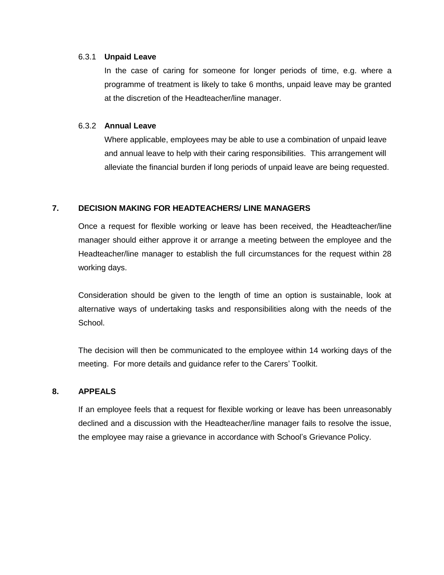#### 6.3.1 **Unpaid Leave**

In the case of caring for someone for longer periods of time, e.g. where a programme of treatment is likely to take 6 months, unpaid leave may be granted at the discretion of the Headteacher/line manager.

#### 6.3.2 **Annual Leave**

Where applicable, employees may be able to use a combination of unpaid leave and annual leave to help with their caring responsibilities. This arrangement will alleviate the financial burden if long periods of unpaid leave are being requested.

#### <span id="page-7-0"></span>**7. DECISION MAKING FOR HEADTEACHERS/ LINE MANAGERS**

Once a request for flexible working or leave has been received, the Headteacher/line manager should either approve it or arrange a meeting between the employee and the Headteacher/line manager to establish the full circumstances for the request within 28 working days.

Consideration should be given to the length of time an option is sustainable, look at alternative ways of undertaking tasks and responsibilities along with the needs of the School.

The decision will then be communicated to the employee within 14 working days of the meeting. For more details and guidance refer to the Carers' Toolkit.

#### <span id="page-7-1"></span>**8. APPEALS**

If an employee feels that a request for flexible working or leave has been unreasonably declined and a discussion with the Headteacher/line manager fails to resolve the issue, the employee may raise a grievance in accordance with School's Grievance Policy.